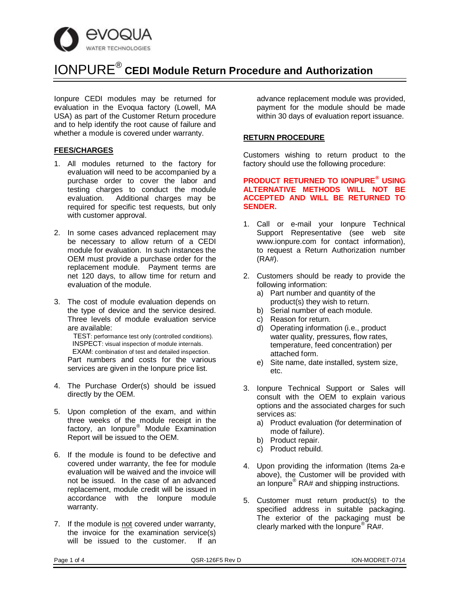

Ionpure CEDI modules may be returned for evaluation in the Evoqua factory (Lowell, MA USA) as part of the Customer Return procedure and to help identify the root cause of failure and whether a module is covered under warranty.

#### **FEES/CHARGES**

- 1. All modules returned to the factory for evaluation will need to be accompanied by a purchase order to cover the labor and testing charges to conduct the module evaluation. Additional charges may be required for specific test requests, but only with customer approval.
- 2. In some cases advanced replacement may be necessary to allow return of a CEDI module for evaluation. In such instances the OEM must provide a purchase order for the replacement module. Payment terms are net 120 days, to allow time for return and evaluation of the module.
- 3. The cost of module evaluation depends on the type of device and the service desired. Three levels of module evaluation service are available:

 TEST: performance test only (controlled conditions). INSPECT: visual inspection of module internals. EXAM: combination of test and detailed inspection. Part numbers and costs for the various services are given in the Ionpure price list.

- 4. The Purchase Order(s) should be issued directly by the OEM.
- 5. Upon completion of the exam, and within three weeks of the module receipt in the factory, an Ionpure® Module Examination Report will be issued to the OEM.
- 6. If the module is found to be defective and covered under warranty, the fee for module evaluation will be waived and the invoice will not be issued. In the case of an advanced replacement, module credit will be issued in accordance with the Ionpure module warranty.
- 7. If the module is not covered under warranty, the invoice for the examination service(s) will be issued to the customer. If an

advance replacement module was provided, payment for the module should be made within 30 days of evaluation report issuance.

#### **RETURN PROCEDURE**

Customers wishing to return product to the factory should use the following procedure:

#### **PRODUCT RETURNED TO IONPURE® USING ALTERNATIVE METHODS WILL NOT BE ACCEPTED AND WILL BE RETURNED TO SENDER.**

- 1. Call or e-mail your Ionpure Technical Support Representative (see web site www.ionpure.com for contact information), to request a Return Authorization number (RA#).
- 2. Customers should be ready to provide the following information:
	- a) Part number and quantity of the product(s) they wish to return.
	- b) Serial number of each module.
	- c) Reason for return.
	- d) Operating information (i.e., product water quality, pressures, flow rates, temperature, feed concentration) per attached form.
	- e) Site name, date installed, system size, etc.
- 3. Ionpure Technical Support or Sales will consult with the OEM to explain various options and the associated charges for such services as:
	- a) Product evaluation (for determination of mode of failure).
	- b) Product repair.
	- c) Product rebuild.
- 4. Upon providing the information (Items 2a-e above), the Customer will be provided with an Ionpure<sup>®</sup> RA# and shipping instructions.
- 5. Customer must return product(s) to the specified address in suitable packaging. The exterior of the packaging must be clearly marked with the Ionpure® RA#.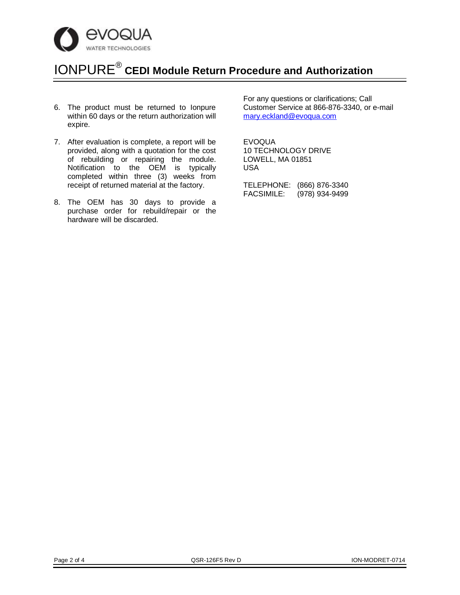

- 6. The product must be returned to Ionpure within 60 days or the return authorization will expire.
- 7. After evaluation is complete, a report will be provided, along with a quotation for the cost of rebuilding or repairing the module. Notification to the OEM is typically completed within three (3) weeks from receipt of returned material at the factory.
- 8. The OEM has 30 days to provide a purchase order for rebuild/repair or the hardware will be discarded.

For any questions or clarifications; Call Customer Service at 866-876-3340, or e-mail mary.eckland@evoqua.com

EVOQUA 10 TECHNOLOGY DRIVE LOWELL, MA 01851 USA

TELEPHONE: (866) 876-3340 FACSIMILE: (978) 934-9499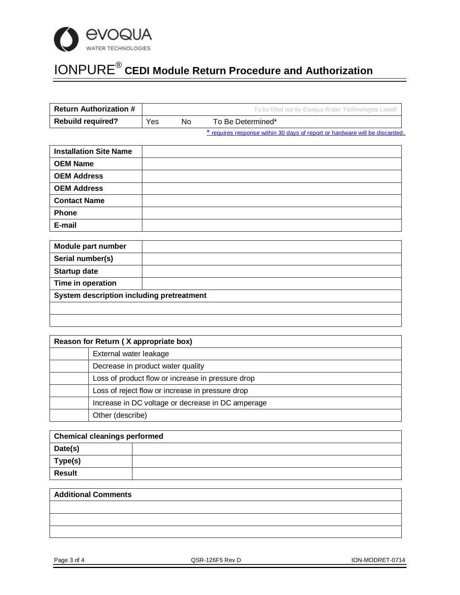

| <b>Return Authorization #</b> |     |    | To be filled out by Evoqua Water Technologies Lowell |
|-------------------------------|-----|----|------------------------------------------------------|
| <b>Rebuild required?</b>      | Yes | No | To Be Determined*                                    |
|                               |     |    |                                                      |

<sup>\*</sup> requires response within 30 days of report or hardware will be discarded.

| <b>Installation Site Name</b> |  |
|-------------------------------|--|
| <b>OEM Name</b>               |  |
| <b>OEM Address</b>            |  |
| <b>OEM Address</b>            |  |
| <b>Contact Name</b>           |  |
| Phone                         |  |
| E-mail                        |  |

| <b>Module part number</b>                 |  |  |  |
|-------------------------------------------|--|--|--|
| Serial number(s)                          |  |  |  |
| <b>Startup date</b>                       |  |  |  |
| Time in operation                         |  |  |  |
| System description including pretreatment |  |  |  |
|                                           |  |  |  |
|                                           |  |  |  |

| Reason for Return (X appropriate box) |                                                   |  |
|---------------------------------------|---------------------------------------------------|--|
|                                       | External water leakage                            |  |
|                                       | Decrease in product water quality                 |  |
|                                       | Loss of product flow or increase in pressure drop |  |
|                                       | Loss of reject flow or increase in pressure drop  |  |
|                                       | Increase in DC voltage or decrease in DC amperage |  |
|                                       | Other (describe)                                  |  |

| <b>Chemical cleanings performed</b> |  |  |  |
|-------------------------------------|--|--|--|
| Date(s)                             |  |  |  |
| Type(s)                             |  |  |  |
| <b>Result</b>                       |  |  |  |

| <b>Additional Comments</b> |  |  |
|----------------------------|--|--|
|                            |  |  |
|                            |  |  |
|                            |  |  |